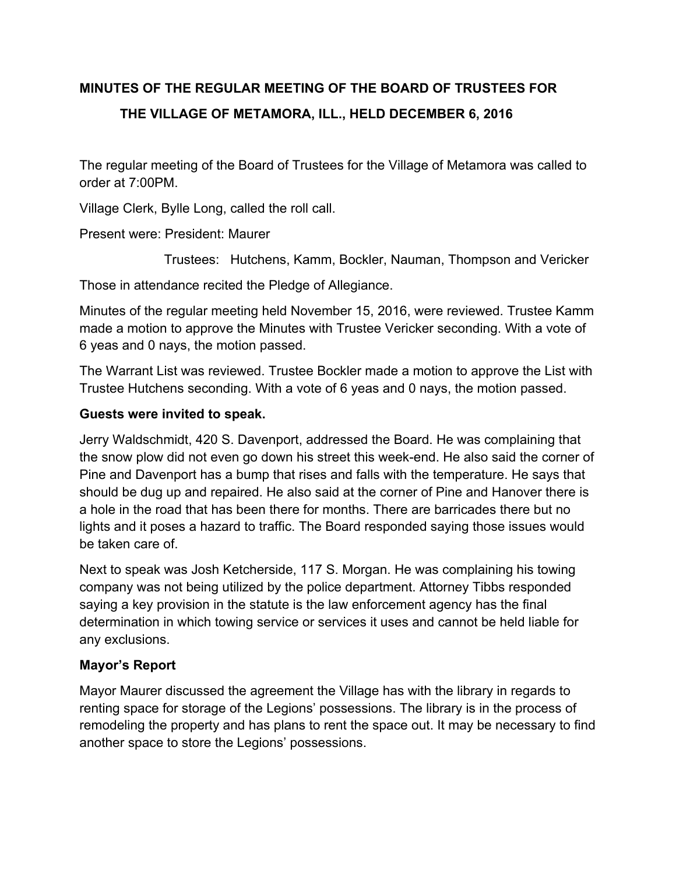# **MINUTES OF THE REGULAR MEETING OF THE BOARD OF TRUSTEES FOR THE VILLAGE OF METAMORA, ILL., HELD DECEMBER 6, 2016**

The regular meeting of the Board of Trustees for the Village of Metamora was called to order at 7:00PM.

Village Clerk, Bylle Long, called the roll call.

Present were: President: Maurer

Trustees: Hutchens, Kamm, Bockler, Nauman, Thompson and Vericker

Those in attendance recited the Pledge of Allegiance.

Minutes of the regular meeting held November 15, 2016, were reviewed. Trustee Kamm made a motion to approve the Minutes with Trustee Vericker seconding. With a vote of 6 yeas and 0 nays, the motion passed.

The Warrant List was reviewed. Trustee Bockler made a motion to approve the List with Trustee Hutchens seconding. With a vote of 6 yeas and 0 nays, the motion passed.

#### **Guests were invited to speak.**

Jerry Waldschmidt, 420 S. Davenport, addressed the Board. He was complaining that the snow plow did not even go down his street this week-end. He also said the corner of Pine and Davenport has a bump that rises and falls with the temperature. He says that should be dug up and repaired. He also said at the corner of Pine and Hanover there is a hole in the road that has been there for months. There are barricades there but no lights and it poses a hazard to traffic. The Board responded saying those issues would be taken care of.

Next to speak was Josh Ketcherside, 117 S. Morgan. He was complaining his towing company was not being utilized by the police department. Attorney Tibbs responded saying a key provision in the statute is the law enforcement agency has the final determination in which towing service or services it uses and cannot be held liable for any exclusions.

## **Mayor's Report**

Mayor Maurer discussed the agreement the Village has with the library in regards to renting space for storage of the Legions' possessions. The library is in the process of remodeling the property and has plans to rent the space out. It may be necessary to find another space to store the Legions' possessions.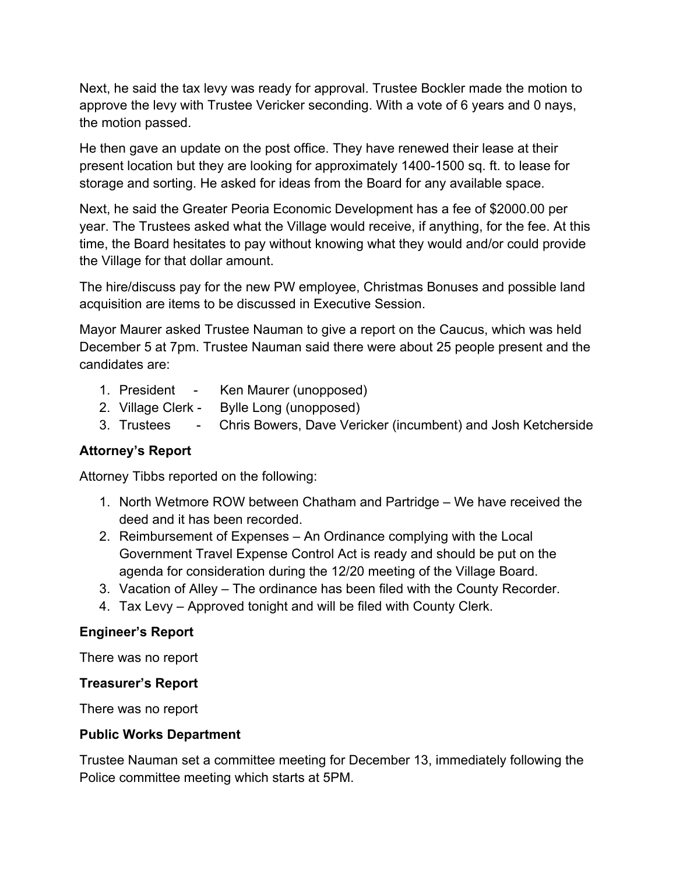Next, he said the tax levy was ready for approval. Trustee Bockler made the motion to approve the levy with Trustee Vericker seconding. With a vote of 6 years and 0 nays, the motion passed.

He then gave an update on the post office. They have renewed their lease at their present location but they are looking for approximately 1400-1500 sq. ft. to lease for storage and sorting. He asked for ideas from the Board for any available space.

Next, he said the Greater Peoria Economic Development has a fee of \$2000.00 per year. The Trustees asked what the Village would receive, if anything, for the fee. At this time, the Board hesitates to pay without knowing what they would and/or could provide the Village for that dollar amount.

The hire/discuss pay for the new PW employee, Christmas Bonuses and possible land acquisition are items to be discussed in Executive Session.

Mayor Maurer asked Trustee Nauman to give a report on the Caucus, which was held December 5 at 7pm. Trustee Nauman said there were about 25 people present and the candidates are:

- 1. President Ken Maurer (unopposed)
- 2. Village Clerk Bylle Long (unopposed)
- 3. Trustees Chris Bowers, Dave Vericker (incumbent) and Josh Ketcherside

## **Attorney's Report**

Attorney Tibbs reported on the following:

- 1. North Wetmore ROW between Chatham and Partridge We have received the deed and it has been recorded.
- 2. Reimbursement of Expenses An Ordinance complying with the Local Government Travel Expense Control Act is ready and should be put on the agenda for consideration during the 12/20 meeting of the Village Board.
- 3. Vacation of Alley The ordinance has been filed with the County Recorder.
- 4. Tax Levy Approved tonight and will be filed with County Clerk.

## **Engineer's Report**

There was no report

#### **Treasurer's Report**

There was no report

## **Public Works Department**

Trustee Nauman set a committee meeting for December 13, immediately following the Police committee meeting which starts at 5PM.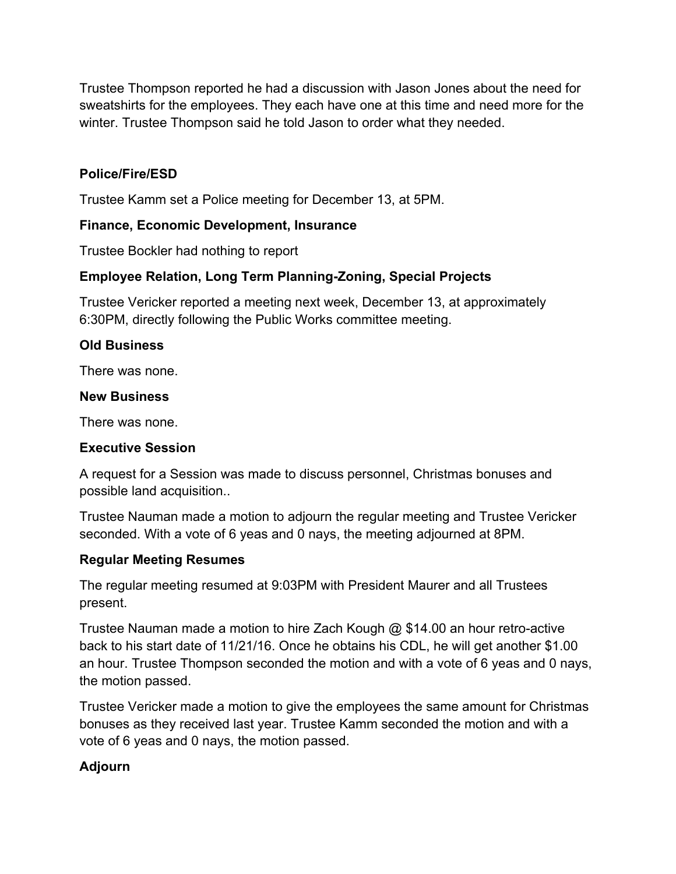Trustee Thompson reported he had a discussion with Jason Jones about the need for sweatshirts for the employees. They each have one at this time and need more for the winter. Trustee Thompson said he told Jason to order what they needed.

#### **Police/Fire/ESD**

Trustee Kamm set a Police meeting for December 13, at 5PM.

#### **Finance, Economic Development, Insurance**

Trustee Bockler had nothing to report

#### **Employee Relation, Long Term Planning-Zoning, Special Projects**

Trustee Vericker reported a meeting next week, December 13, at approximately 6:30PM, directly following the Public Works committee meeting.

#### **Old Business**

There was none.

#### **New Business**

There was none.

#### **Executive Session**

A request for a Session was made to discuss personnel, Christmas bonuses and possible land acquisition..

Trustee Nauman made a motion to adjourn the regular meeting and Trustee Vericker seconded. With a vote of 6 yeas and 0 nays, the meeting adjourned at 8PM.

#### **Regular Meeting Resumes**

The regular meeting resumed at 9:03PM with President Maurer and all Trustees present.

Trustee Nauman made a motion to hire Zach Kough @ \$14.00 an hour retro-active back to his start date of 11/21/16. Once he obtains his CDL, he will get another \$1.00 an hour. Trustee Thompson seconded the motion and with a vote of 6 yeas and 0 nays, the motion passed.

Trustee Vericker made a motion to give the employees the same amount for Christmas bonuses as they received last year. Trustee Kamm seconded the motion and with a vote of 6 yeas and 0 nays, the motion passed.

#### **Adjourn**